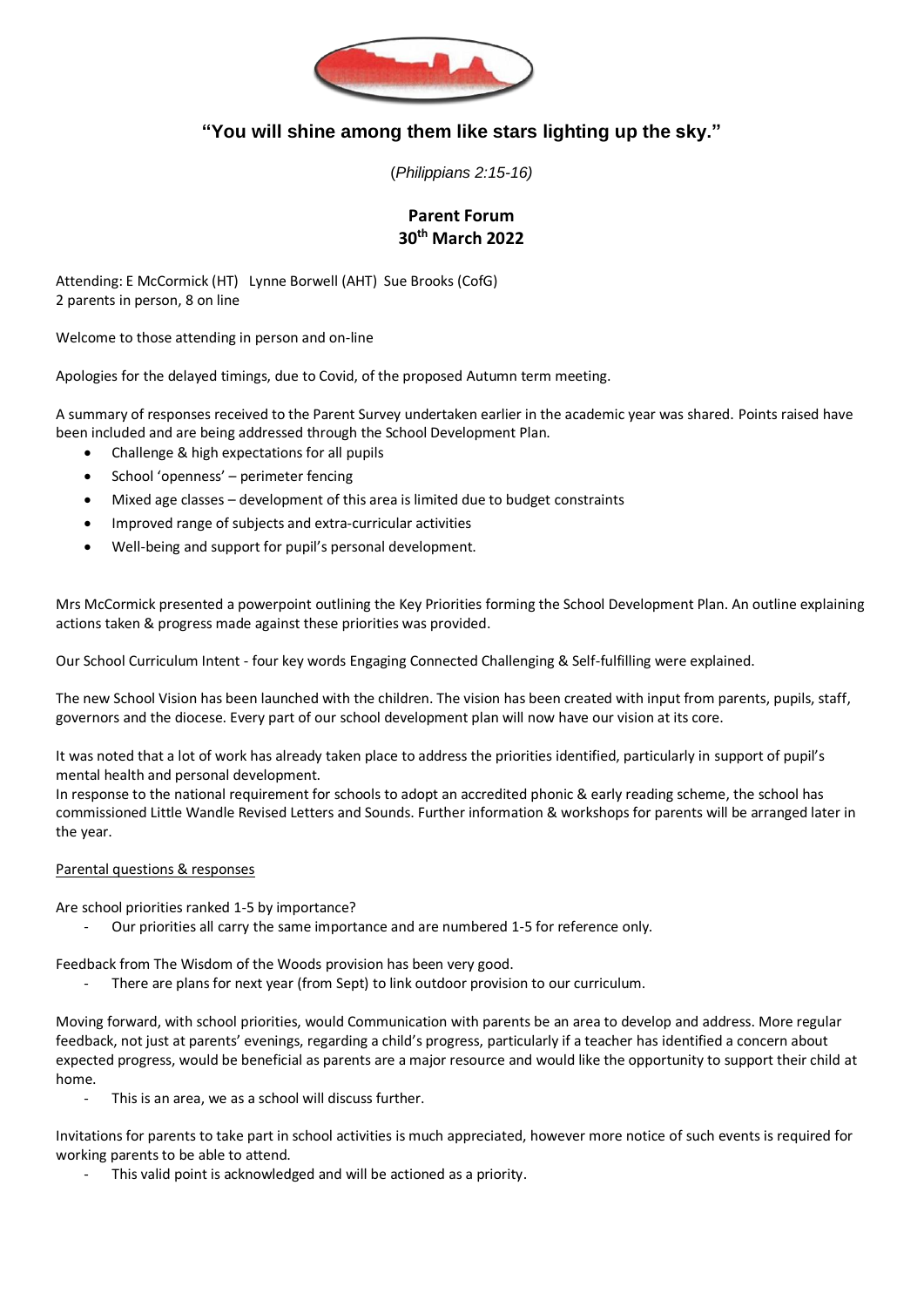

## **"You will shine among them like stars lighting up the sky."**

(*Philippians 2:15-16)*

## **Parent Forum 30th March 2022**

Attending: E McCormick (HT) Lynne Borwell (AHT) Sue Brooks (CofG) 2 parents in person, 8 on line

Welcome to those attending in person and on-line

Apologies for the delayed timings, due to Covid, of the proposed Autumn term meeting.

A summary of responses received to the Parent Survey undertaken earlier in the academic year was shared. Points raised have been included and are being addressed through the School Development Plan.

- Challenge & high expectations for all pupils
- School 'openness' perimeter fencing
- Mixed age classes development of this area is limited due to budget constraints
- Improved range of subjects and extra-curricular activities
- Well-being and support for pupil's personal development.

Mrs McCormick presented a powerpoint outlining the Key Priorities forming the School Development Plan. An outline explaining actions taken & progress made against these priorities was provided.

Our School Curriculum Intent - four key words Engaging Connected Challenging & Self-fulfilling were explained.

The new School Vision has been launched with the children. The vision has been created with input from parents, pupils, staff, governors and the diocese. Every part of our school development plan will now have our vision at its core.

It was noted that a lot of work has already taken place to address the priorities identified, particularly in support of pupil's mental health and personal development.

In response to the national requirement for schools to adopt an accredited phonic & early reading scheme, the school has commissioned Little Wandle Revised Letters and Sounds. Further information & workshops for parents will be arranged later in the year.

## Parental questions & responses

Are school priorities ranked 1-5 by importance?

Our priorities all carry the same importance and are numbered 1-5 for reference only.

Feedback from The Wisdom of the Woods provision has been very good.

There are plans for next year (from Sept) to link outdoor provision to our curriculum.

Moving forward, with school priorities, would Communication with parents be an area to develop and address. More regular feedback, not just at parents' evenings, regarding a child's progress, particularly if a teacher has identified a concern about expected progress, would be beneficial as parents are a major resource and would like the opportunity to support their child at home.

This is an area, we as a school will discuss further.

Invitations for parents to take part in school activities is much appreciated, however more notice of such events is required for working parents to be able to attend.

This valid point is acknowledged and will be actioned as a priority.